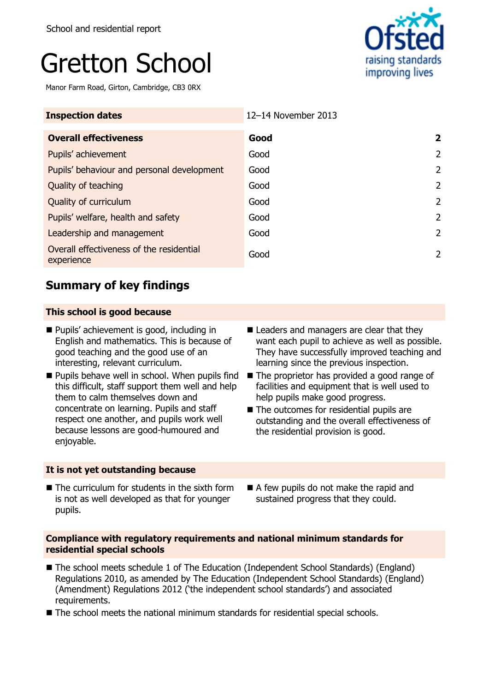# Gretton School

Manor Farm Road, Girton, Cambridge, CB3 0RX



| <b>Inspection dates</b>                                | 12-14 November 2013 |                |
|--------------------------------------------------------|---------------------|----------------|
| <b>Overall effectiveness</b>                           | Good                | 2              |
| Pupils' achievement                                    | Good                | 2              |
| Pupils' behaviour and personal development             | Good                | 2              |
| Quality of teaching                                    | Good                | $\mathcal{P}$  |
| Quality of curriculum                                  | Good                | $\overline{2}$ |
| Pupils' welfare, health and safety                     | Good                | 2              |
| Leadership and management                              | Good                | 2              |
| Overall effectiveness of the residential<br>experience | Good                | 2              |

## **Summary of key findings**

## **This school is good because**

- **Pupils' achievement is good, including in** English and mathematics. This is because of good teaching and the good use of an interesting, relevant curriculum.
- $\blacksquare$  Pupils behave well in school. When pupils find this difficult, staff support them well and help them to calm themselves down and concentrate on learning. Pupils and staff respect one another, and pupils work well because lessons are good-humoured and enjoyable.

## **It is not yet outstanding because**

- Leaders and managers are clear that they want each pupil to achieve as well as possible. They have successfully improved teaching and learning since the previous inspection.
- The proprietor has provided a good range of facilities and equipment that is well used to help pupils make good progress.
- The outcomes for residential pupils are outstanding and the overall effectiveness of the residential provision is good.
- The curriculum for students in the sixth form is not as well developed as that for younger pupils.
- A few pupils do not make the rapid and sustained progress that they could.

### **Compliance with regulatory requirements and national minimum standards for residential special schools**

- The school meets schedule 1 of The Education (Independent School Standards) (England) Regulations 2010, as amended by The Education (Independent School Standards) (England) (Amendment) Regulations 2012 ('the independent school standards') and associated requirements.
- The school meets the national minimum standards for residential special schools.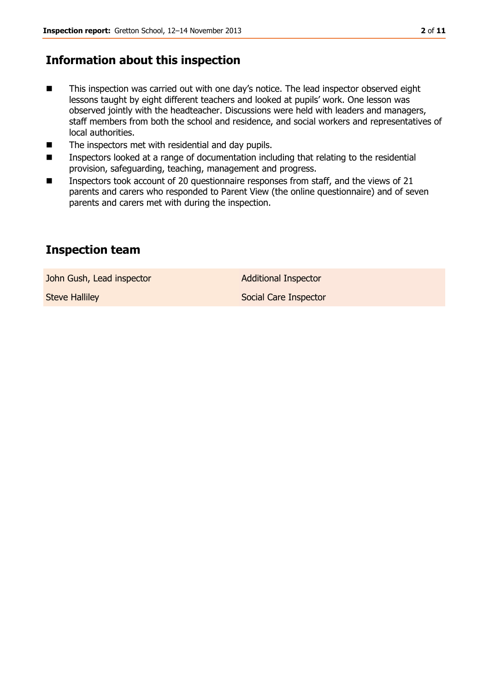## **Information about this inspection**

- This inspection was carried out with one day's notice. The lead inspector observed eight lessons taught by eight different teachers and looked at pupils' work. One lesson was observed jointly with the headteacher. Discussions were held with leaders and managers, staff members from both the school and residence, and social workers and representatives of local authorities.
- The inspectors met with residential and day pupils.
- Inspectors looked at a range of documentation including that relating to the residential provision, safeguarding, teaching, management and progress.
- Inspectors took account of 20 questionnaire responses from staff, and the views of 21 parents and carers who responded to Parent View (the online questionnaire) and of seven parents and carers met with during the inspection.

## **Inspection team**

John Gush, Lead inspector **Additional Inspector** 

Steve Halliley **Steve Halliley** Social Care Inspector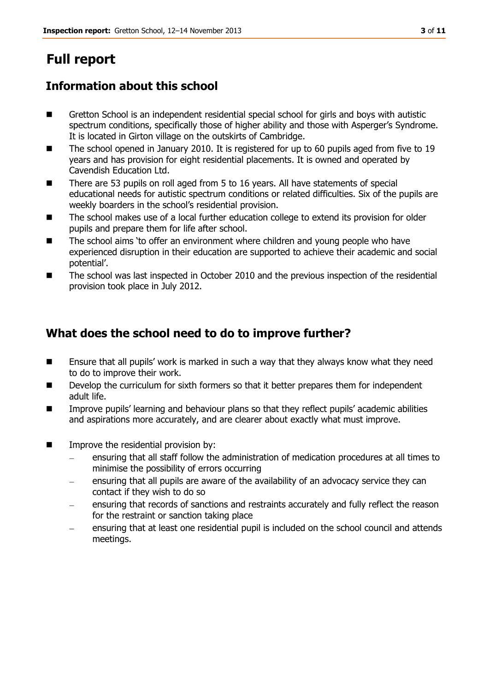# **Full report**

## **Information about this school**

- Gretton School is an independent residential special school for girls and boys with autistic spectrum conditions, specifically those of higher ability and those with Asperger's Syndrome. It is located in Girton village on the outskirts of Cambridge.
- The school opened in January 2010. It is registered for up to 60 pupils aged from five to 19 years and has provision for eight residential placements. It is owned and operated by Cavendish Education Ltd.
- There are 53 pupils on roll aged from 5 to 16 years. All have statements of special educational needs for autistic spectrum conditions or related difficulties. Six of the pupils are weekly boarders in the school's residential provision.
- The school makes use of a local further education college to extend its provision for older pupils and prepare them for life after school.
- The school aims 'to offer an environment where children and young people who have experienced disruption in their education are supported to achieve their academic and social potential'.
- The school was last inspected in October 2010 and the previous inspection of the residential provision took place in July 2012.

## **What does the school need to do to improve further?**

- Ensure that all pupils' work is marked in such a way that they always know what they need to do to improve their work.
- **Develop the curriculum for sixth formers so that it better prepares them for independent** adult life.
- **IMPROVE PUPILS' learning and behaviour plans so that they reflect pupils' academic abilities** and aspirations more accurately, and are clearer about exactly what must improve.
- **IMPROVE the residential provision by:** 
	- ensuring that all staff follow the administration of medication procedures at all times to minimise the possibility of errors occurring
	- ensuring that all pupils are aware of the availability of an advocacy service they can contact if they wish to do so
	- ensuring that records of sanctions and restraints accurately and fully reflect the reason for the restraint or sanction taking place
	- ensuring that at least one residential pupil is included on the school council and attends meetings.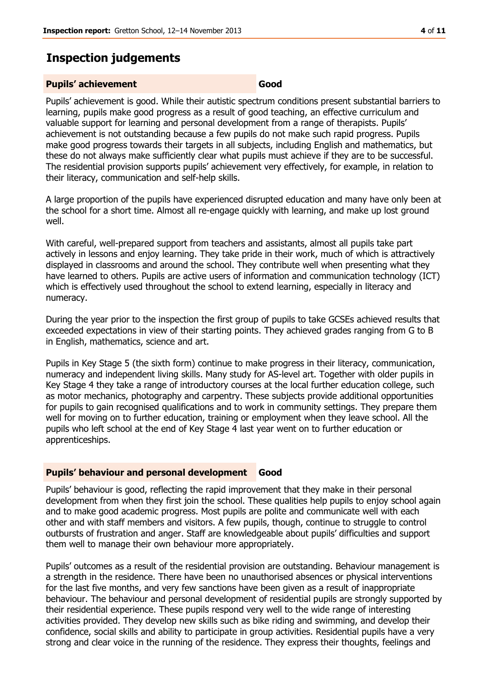## **Inspection judgements**

#### **Pupils' achievement Good**

Pupils' achievement is good. While their autistic spectrum conditions present substantial barriers to learning, pupils make good progress as a result of good teaching, an effective curriculum and valuable support for learning and personal development from a range of therapists. Pupils' achievement is not outstanding because a few pupils do not make such rapid progress. Pupils make good progress towards their targets in all subjects, including English and mathematics, but these do not always make sufficiently clear what pupils must achieve if they are to be successful. The residential provision supports pupils' achievement very effectively, for example, in relation to their literacy, communication and self-help skills.

A large proportion of the pupils have experienced disrupted education and many have only been at the school for a short time. Almost all re-engage quickly with learning, and make up lost ground well.

With careful, well-prepared support from teachers and assistants, almost all pupils take part actively in lessons and enjoy learning. They take pride in their work, much of which is attractively displayed in classrooms and around the school. They contribute well when presenting what they have learned to others. Pupils are active users of information and communication technology (ICT) which is effectively used throughout the school to extend learning, especially in literacy and numeracy.

During the year prior to the inspection the first group of pupils to take GCSEs achieved results that exceeded expectations in view of their starting points. They achieved grades ranging from G to B in English, mathematics, science and art.

Pupils in Key Stage 5 (the sixth form) continue to make progress in their literacy, communication, numeracy and independent living skills. Many study for AS-level art. Together with older pupils in Key Stage 4 they take a range of introductory courses at the local further education college, such as motor mechanics, photography and carpentry. These subjects provide additional opportunities for pupils to gain recognised qualifications and to work in community settings. They prepare them well for moving on to further education, training or employment when they leave school. All the pupils who left school at the end of Key Stage 4 last year went on to further education or apprenticeships.

#### **Pupils' behaviour and personal development Good**

Pupils' behaviour is good, reflecting the rapid improvement that they make in their personal development from when they first join the school. These qualities help pupils to enjoy school again and to make good academic progress. Most pupils are polite and communicate well with each other and with staff members and visitors. A few pupils, though, continue to struggle to control outbursts of frustration and anger. Staff are knowledgeable about pupils' difficulties and support them well to manage their own behaviour more appropriately.

Pupils' outcomes as a result of the residential provision are outstanding. Behaviour management is a strength in the residence. There have been no unauthorised absences or physical interventions for the last five months, and very few sanctions have been given as a result of inappropriate behaviour. The behaviour and personal development of residential pupils are strongly supported by their residential experience. These pupils respond very well to the wide range of interesting activities provided. They develop new skills such as bike riding and swimming, and develop their confidence, social skills and ability to participate in group activities. Residential pupils have a very strong and clear voice in the running of the residence. They express their thoughts, feelings and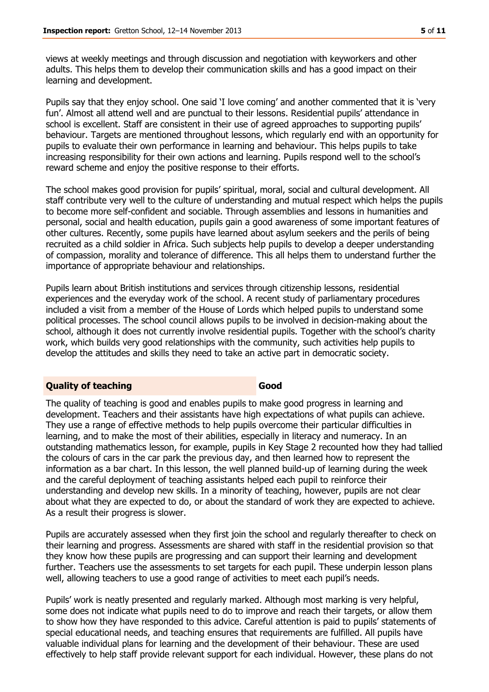views at weekly meetings and through discussion and negotiation with keyworkers and other adults. This helps them to develop their communication skills and has a good impact on their learning and development.

Pupils say that they enjoy school. One said 'I love coming' and another commented that it is 'very fun'. Almost all attend well and are punctual to their lessons. Residential pupils' attendance in school is excellent. Staff are consistent in their use of agreed approaches to supporting pupils' behaviour. Targets are mentioned throughout lessons, which regularly end with an opportunity for pupils to evaluate their own performance in learning and behaviour. This helps pupils to take increasing responsibility for their own actions and learning. Pupils respond well to the school's reward scheme and enjoy the positive response to their efforts.

The school makes good provision for pupils' spiritual, moral, social and cultural development. All staff contribute very well to the culture of understanding and mutual respect which helps the pupils to become more self-confident and sociable. Through assemblies and lessons in humanities and personal, social and health education, pupils gain a good awareness of some important features of other cultures. Recently, some pupils have learned about asylum seekers and the perils of being recruited as a child soldier in Africa. Such subjects help pupils to develop a deeper understanding of compassion, morality and tolerance of difference. This all helps them to understand further the importance of appropriate behaviour and relationships.

Pupils learn about British institutions and services through citizenship lessons, residential experiences and the everyday work of the school. A recent study of parliamentary procedures included a visit from a member of the House of Lords which helped pupils to understand some political processes. The school council allows pupils to be involved in decision-making about the school, although it does not currently involve residential pupils. Together with the school's charity work, which builds very good relationships with the community, such activities help pupils to develop the attitudes and skills they need to take an active part in democratic society.

### **Quality of teaching Good**

The quality of teaching is good and enables pupils to make good progress in learning and development. Teachers and their assistants have high expectations of what pupils can achieve. They use a range of effective methods to help pupils overcome their particular difficulties in learning, and to make the most of their abilities, especially in literacy and numeracy. In an outstanding mathematics lesson, for example, pupils in Key Stage 2 recounted how they had tallied the colours of cars in the car park the previous day, and then learned how to represent the information as a bar chart. In this lesson, the well planned build-up of learning during the week and the careful deployment of teaching assistants helped each pupil to reinforce their understanding and develop new skills. In a minority of teaching, however, pupils are not clear about what they are expected to do, or about the standard of work they are expected to achieve. As a result their progress is slower.

Pupils are accurately assessed when they first join the school and regularly thereafter to check on their learning and progress. Assessments are shared with staff in the residential provision so that they know how these pupils are progressing and can support their learning and development further. Teachers use the assessments to set targets for each pupil. These underpin lesson plans well, allowing teachers to use a good range of activities to meet each pupil's needs.

Pupils' work is neatly presented and regularly marked. Although most marking is very helpful, some does not indicate what pupils need to do to improve and reach their targets, or allow them to show how they have responded to this advice. Careful attention is paid to pupils' statements of special educational needs, and teaching ensures that requirements are fulfilled. All pupils have valuable individual plans for learning and the development of their behaviour. These are used effectively to help staff provide relevant support for each individual. However, these plans do not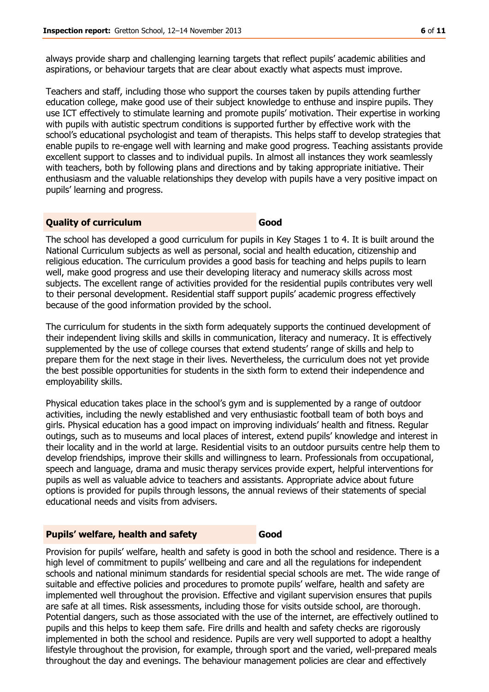always provide sharp and challenging learning targets that reflect pupils' academic abilities and aspirations, or behaviour targets that are clear about exactly what aspects must improve.

Teachers and staff, including those who support the courses taken by pupils attending further education college, make good use of their subject knowledge to enthuse and inspire pupils. They use ICT effectively to stimulate learning and promote pupils' motivation. Their expertise in working with pupils with autistic spectrum conditions is supported further by effective work with the school's educational psychologist and team of therapists. This helps staff to develop strategies that enable pupils to re-engage well with learning and make good progress. Teaching assistants provide excellent support to classes and to individual pupils. In almost all instances they work seamlessly with teachers, both by following plans and directions and by taking appropriate initiative. Their enthusiasm and the valuable relationships they develop with pupils have a very positive impact on pupils' learning and progress.

#### **Duality of curriculum Good**

The school has developed a good curriculum for pupils in Key Stages 1 to 4. It is built around the National Curriculum subjects as well as personal, social and health education, citizenship and religious education. The curriculum provides a good basis for teaching and helps pupils to learn well, make good progress and use their developing literacy and numeracy skills across most subjects. The excellent range of activities provided for the residential pupils contributes very well to their personal development. Residential staff support pupils' academic progress effectively because of the good information provided by the school.

The curriculum for students in the sixth form adequately supports the continued development of their independent living skills and skills in communication, literacy and numeracy. It is effectively supplemented by the use of college courses that extend students' range of skills and help to prepare them for the next stage in their lives. Nevertheless, the curriculum does not yet provide the best possible opportunities for students in the sixth form to extend their independence and employability skills.

Physical education takes place in the school's gym and is supplemented by a range of outdoor activities, including the newly established and very enthusiastic football team of both boys and girls. Physical education has a good impact on improving individuals' health and fitness. Regular outings, such as to museums and local places of interest, extend pupils' knowledge and interest in their locality and in the world at large. Residential visits to an outdoor pursuits centre help them to develop friendships, improve their skills and willingness to learn. Professionals from occupational, speech and language, drama and music therapy services provide expert, helpful interventions for pupils as well as valuable advice to teachers and assistants. Appropriate advice about future options is provided for pupils through lessons, the annual reviews of their statements of special educational needs and visits from advisers.

#### **Pupils' welfare, health and safety Good**

Provision for pupils' welfare, health and safety is good in both the school and residence. There is a high level of commitment to pupils' wellbeing and care and all the regulations for independent schools and national minimum standards for residential special schools are met. The wide range of suitable and effective policies and procedures to promote pupils' welfare, health and safety are implemented well throughout the provision. Effective and vigilant supervision ensures that pupils are safe at all times. Risk assessments, including those for visits outside school, are thorough. Potential dangers, such as those associated with the use of the internet, are effectively outlined to pupils and this helps to keep them safe. Fire drills and health and safety checks are rigorously implemented in both the school and residence. Pupils are very well supported to adopt a healthy lifestyle throughout the provision, for example, through sport and the varied, well-prepared meals throughout the day and evenings. The behaviour management policies are clear and effectively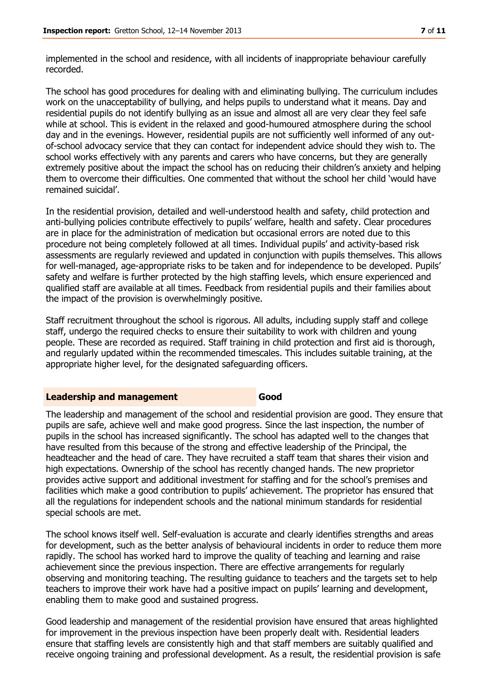implemented in the school and residence, with all incidents of inappropriate behaviour carefully recorded.

The school has good procedures for dealing with and eliminating bullying. The curriculum includes work on the unacceptability of bullying, and helps pupils to understand what it means. Day and residential pupils do not identify bullying as an issue and almost all are very clear they feel safe while at school. This is evident in the relaxed and good-humoured atmosphere during the school day and in the evenings. However, residential pupils are not sufficiently well informed of any outof-school advocacy service that they can contact for independent advice should they wish to. The school works effectively with any parents and carers who have concerns, but they are generally extremely positive about the impact the school has on reducing their children's anxiety and helping them to overcome their difficulties. One commented that without the school her child 'would have remained suicidal'.

In the residential provision, detailed and well-understood health and safety, child protection and anti-bullying policies contribute effectively to pupils' welfare, health and safety. Clear procedures are in place for the administration of medication but occasional errors are noted due to this procedure not being completely followed at all times. Individual pupils' and activity-based risk assessments are regularly reviewed and updated in conjunction with pupils themselves. This allows for well-managed, age-appropriate risks to be taken and for independence to be developed. Pupils' safety and welfare is further protected by the high staffing levels, which ensure experienced and qualified staff are available at all times. Feedback from residential pupils and their families about the impact of the provision is overwhelmingly positive.

Staff recruitment throughout the school is rigorous. All adults, including supply staff and college staff, undergo the required checks to ensure their suitability to work with children and young people. These are recorded as required. Staff training in child protection and first aid is thorough, and regularly updated within the recommended timescales. This includes suitable training, at the appropriate higher level, for the designated safeguarding officers.

#### **Leadership and management Good**

The leadership and management of the school and residential provision are good. They ensure that pupils are safe, achieve well and make good progress. Since the last inspection, the number of pupils in the school has increased significantly. The school has adapted well to the changes that have resulted from this because of the strong and effective leadership of the Principal, the headteacher and the head of care. They have recruited a staff team that shares their vision and high expectations. Ownership of the school has recently changed hands. The new proprietor provides active support and additional investment for staffing and for the school's premises and facilities which make a good contribution to pupils' achievement. The proprietor has ensured that all the regulations for independent schools and the national minimum standards for residential special schools are met.

The school knows itself well. Self-evaluation is accurate and clearly identifies strengths and areas for development, such as the better analysis of behavioural incidents in order to reduce them more rapidly. The school has worked hard to improve the quality of teaching and learning and raise achievement since the previous inspection. There are effective arrangements for regularly observing and monitoring teaching. The resulting guidance to teachers and the targets set to help teachers to improve their work have had a positive impact on pupils' learning and development, enabling them to make good and sustained progress.

Good leadership and management of the residential provision have ensured that areas highlighted for improvement in the previous inspection have been properly dealt with. Residential leaders ensure that staffing levels are consistently high and that staff members are suitably qualified and receive ongoing training and professional development. As a result, the residential provision is safe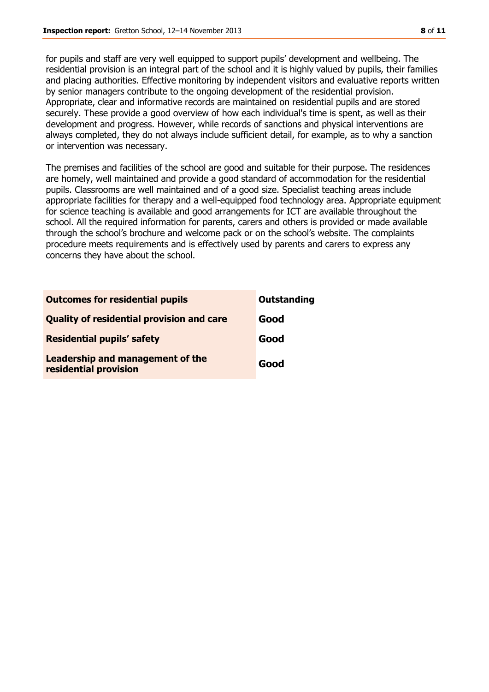for pupils and staff are very well equipped to support pupils' development and wellbeing. The residential provision is an integral part of the school and it is highly valued by pupils, their families and placing authorities. Effective monitoring by independent visitors and evaluative reports written by senior managers contribute to the ongoing development of the residential provision. Appropriate, clear and informative records are maintained on residential pupils and are stored securely. These provide a good overview of how each individual's time is spent, as well as their development and progress. However, while records of sanctions and physical interventions are always completed, they do not always include sufficient detail, for example, as to why a sanction or intervention was necessary.

The premises and facilities of the school are good and suitable for their purpose. The residences are homely, well maintained and provide a good standard of accommodation for the residential pupils. Classrooms are well maintained and of a good size. Specialist teaching areas include appropriate facilities for therapy and a well-equipped food technology area. Appropriate equipment for science teaching is available and good arrangements for ICT are available throughout the school. All the required information for parents, carers and others is provided or made available through the school's brochure and welcome pack or on the school's website. The complaints procedure meets requirements and is effectively used by parents and carers to express any concerns they have about the school.

| <b>Outcomes for residential pupils</b>                    | <b>Outstanding</b> |
|-----------------------------------------------------------|--------------------|
| <b>Quality of residential provision and care</b>          | Good               |
| <b>Residential pupils' safety</b>                         | Good               |
| Leadership and management of the<br>residential provision | Good               |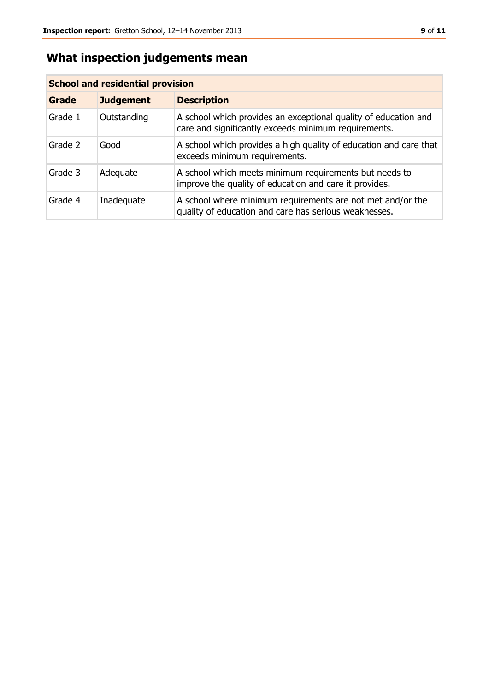# **What inspection judgements mean**

| <b>School and residential provision</b> |                  |                                                                                                                         |  |
|-----------------------------------------|------------------|-------------------------------------------------------------------------------------------------------------------------|--|
| <b>Grade</b>                            | <b>Judgement</b> | <b>Description</b>                                                                                                      |  |
| Grade 1                                 | Outstanding      | A school which provides an exceptional quality of education and<br>care and significantly exceeds minimum requirements. |  |
| Grade 2                                 | Good             | A school which provides a high quality of education and care that<br>exceeds minimum requirements.                      |  |
| Grade 3                                 | Adequate         | A school which meets minimum requirements but needs to<br>improve the quality of education and care it provides.        |  |
| Grade 4                                 | Inadequate       | A school where minimum requirements are not met and/or the<br>quality of education and care has serious weaknesses.     |  |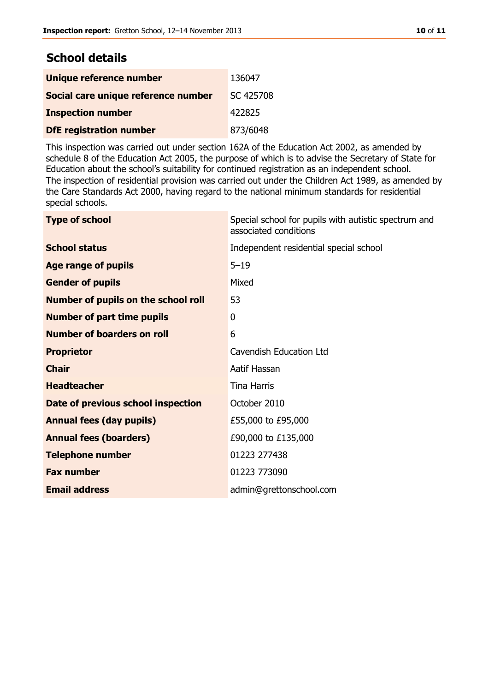## **School details**

| Unique reference number             | 136047    |
|-------------------------------------|-----------|
| Social care unique reference number | SC 425708 |
| <b>Inspection number</b>            | 422825    |
| <b>DfE registration number</b>      | 873/6048  |

This inspection was carried out under section 162A of the Education Act 2002, as amended by schedule 8 of the Education Act 2005, the purpose of which is to advise the Secretary of State for Education about the school's suitability for continued registration as an independent school. The inspection of residential provision was carried out under the Children Act 1989, as amended by the Care Standards Act 2000, having regard to the national minimum standards for residential special schools.

| <b>Type of school</b>                      | Special school for pupils with autistic spectrum and<br>associated conditions |
|--------------------------------------------|-------------------------------------------------------------------------------|
| <b>School status</b>                       | Independent residential special school                                        |
| <b>Age range of pupils</b>                 | $5 - 19$                                                                      |
| <b>Gender of pupils</b>                    | Mixed                                                                         |
| <b>Number of pupils on the school roll</b> | 53                                                                            |
| <b>Number of part time pupils</b>          | 0                                                                             |
| <b>Number of boarders on roll</b>          | 6                                                                             |
| <b>Proprietor</b>                          | <b>Cavendish Education Ltd</b>                                                |
| <b>Chair</b>                               | Aatif Hassan                                                                  |
| <b>Headteacher</b>                         | <b>Tina Harris</b>                                                            |
| Date of previous school inspection         | October 2010                                                                  |
| <b>Annual fees (day pupils)</b>            | £55,000 to £95,000                                                            |
| <b>Annual fees (boarders)</b>              | £90,000 to £135,000                                                           |
| <b>Telephone number</b>                    | 01223 277438                                                                  |
| <b>Fax number</b>                          | 01223 773090                                                                  |
| <b>Email address</b>                       | admin@grettonschool.com                                                       |